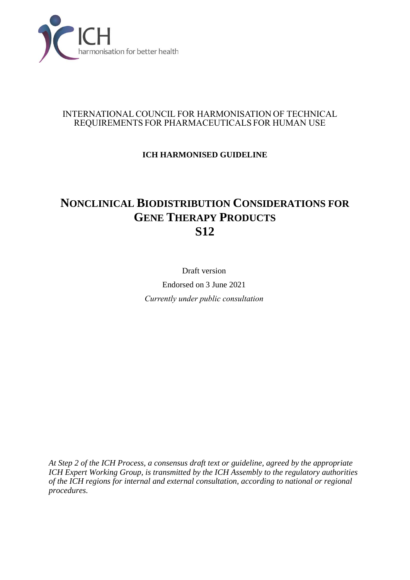

### INTERNATIONAL COUNCIL FOR HARMONISATION OF TECHNICAL REQUIREMENTS FOR PHARMACEUTICALS FOR HUMAN USE

# **ICH HARMONISED GUIDELINE**

# **NONCLINICAL BIODISTRIBUTION CONSIDERATIONS FOR GENE THERAPY PRODUCTS S12**

Draft version Endorsed on 3 June 2021 *Currently under public consultation*

*At Step 2 of the ICH Process, a consensus draft text or guideline, agreed by the appropriate ICH Expert Working Group, is transmitted by the ICH Assembly to the regulatory authorities of the ICH regions for internal and external consultation, according to national or regional procedures.*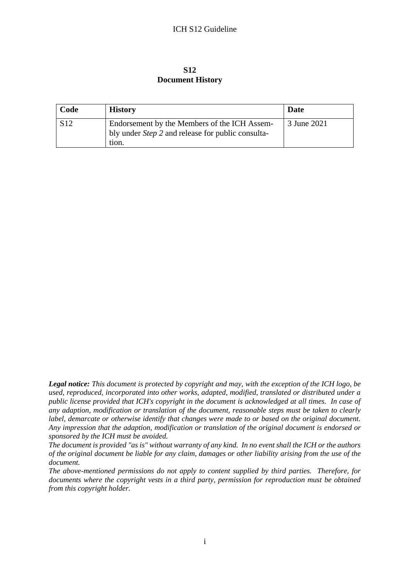#### **S12 Document History**

| Code            | <b>History</b>                                                                                           | Date        |
|-----------------|----------------------------------------------------------------------------------------------------------|-------------|
| S <sub>12</sub> | Endorsement by the Members of the ICH Assem-<br>bly under <i>Step 2</i> and release for public consulta- | 3 June 2021 |
|                 | tion.                                                                                                    |             |

*Legal notice: This document is protected by copyright and may, with the exception of the ICH logo, be used, reproduced, incorporated into other works, adapted, modified, translated or distributed under a public license provided that ICH's copyright in the document is acknowledged at all times. In case of any adaption, modification or translation of the document, reasonable steps must be taken to clearly label, demarcate or otherwise identify that changes were made to or based on the original document. Any impression that the adaption, modification or translation of the original document is endorsed or sponsored by the ICH must be avoided.*

*The document is provided "as is" without warranty of any kind. In no event shall the ICH or the authors of the original document be liable for any claim, damages or other liability arising from the use of the document.*

*The above-mentioned permissions do not apply to content supplied by third parties. Therefore, for documents where the copyright vests in a third party, permission for reproduction must be obtained from this copyright holder.*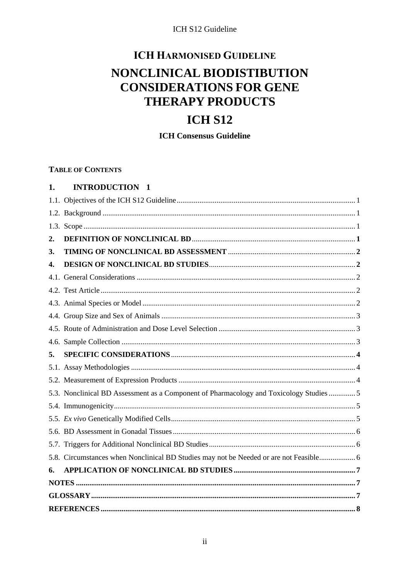# **ICH HARMONISED GUIDELINE** NONCLINICAL BIODISTIBUTION **CONSIDERATIONS FOR GENE THERAPY PRODUCTS**

# **ICH S12**

**ICH Consensus Guideline** 

#### **TABLE OF CONTENTS**

<span id="page-2-0"></span>

| 1. | <b>INTRODUCTION 1</b>                                                                   |  |
|----|-----------------------------------------------------------------------------------------|--|
|    |                                                                                         |  |
|    |                                                                                         |  |
|    |                                                                                         |  |
| 2. |                                                                                         |  |
| 3. |                                                                                         |  |
| 4. |                                                                                         |  |
|    |                                                                                         |  |
|    |                                                                                         |  |
|    |                                                                                         |  |
|    |                                                                                         |  |
|    |                                                                                         |  |
|    |                                                                                         |  |
| 5. |                                                                                         |  |
|    |                                                                                         |  |
|    |                                                                                         |  |
|    |                                                                                         |  |
|    | 5.3. Nonclinical BD Assessment as a Component of Pharmacology and Toxicology Studies  5 |  |
|    |                                                                                         |  |
|    |                                                                                         |  |
|    |                                                                                         |  |
|    |                                                                                         |  |
|    | 5.8. Circumstances when Nonclinical BD Studies may not be Needed or are not Feasible 6  |  |
| 6. |                                                                                         |  |
|    |                                                                                         |  |
|    |                                                                                         |  |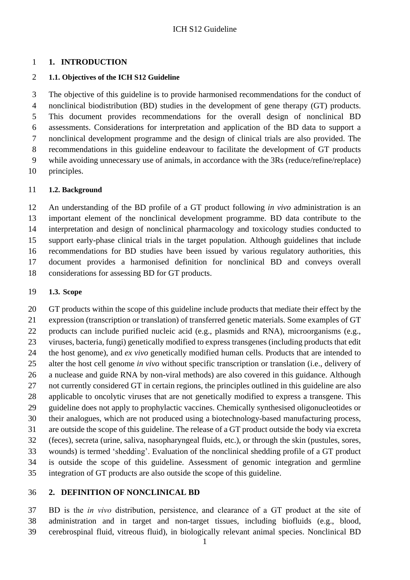#### **1. INTRODUCTION**

#### <span id="page-3-0"></span>**1.1. Objectives of the ICH S12 Guideline**

 The objective of this guideline is to provide harmonised recommendations for the conduct of nonclinical biodistribution (BD) studies in the development of gene therapy (GT) products. This document provides recommendations for the overall design of nonclinical BD assessments. Considerations for interpretation and application of the BD data to support a nonclinical development programme and the design of clinical trials are also provided. The recommendations in this guideline endeavour to facilitate the development of GT products while avoiding unnecessary use of animals, in accordance with the 3Rs (reduce/refine/replace) principles.

#### <span id="page-3-1"></span>**1.2. Background**

 An understanding of the BD profile of a GT product following *in vivo* administration is an important element of the nonclinical development programme. BD data contribute to the interpretation and design of nonclinical pharmacology and toxicology studies conducted to support early-phase clinical trials in the target population. Although guidelines that include recommendations for BD studies have been issued by various regulatory authorities, this document provides a harmonised definition for nonclinical BD and conveys overall considerations for assessing BD for GT products.

#### <span id="page-3-2"></span>**1.3. Scope**

 GT products within the scope of this guideline include products that mediate their effect by the expression (transcription or translation) of transferred genetic materials. Some examples of GT products can include purified nucleic acid (e.g., plasmids and RNA), microorganisms (e.g., viruses, bacteria, fungi) genetically modified to express transgenes (including products that edit the host genome), and *ex vivo* genetically modified human cells. Products that are intended to alter the host cell genome *in vivo* without specific transcription or translation (i.e., delivery of a nuclease and guide RNA by non-viral methods) are also covered in this guidance. Although not currently considered GT in certain regions, the principles outlined in this guideline are also applicable to oncolytic viruses that are not genetically modified to express a transgene. This guideline does not apply to prophylactic vaccines. Chemically synthesised oligonucleotides or their analogues, which are not produced using a biotechnology-based manufacturing process, are outside the scope of this guideline. The release of a GT product outside the body via excreta (feces), secreta (urine, saliva, nasopharyngeal fluids, etc.), or through the skin (pustules, sores, wounds) is termed 'shedding'. Evaluation of the nonclinical shedding profile of a GT product is outside the scope of this guideline. Assessment of genomic integration and germline integration of GT products are also outside the scope of this guideline.

### <span id="page-3-3"></span>**2. DEFINITION OF NONCLINICAL BD**

 BD is the *in vivo* distribution, persistence, and clearance of a GT product at the site of administration and in target and non-target tissues, including biofluids (e.g., blood, cerebrospinal fluid, vitreous fluid), in biologically relevant animal species. Nonclinical BD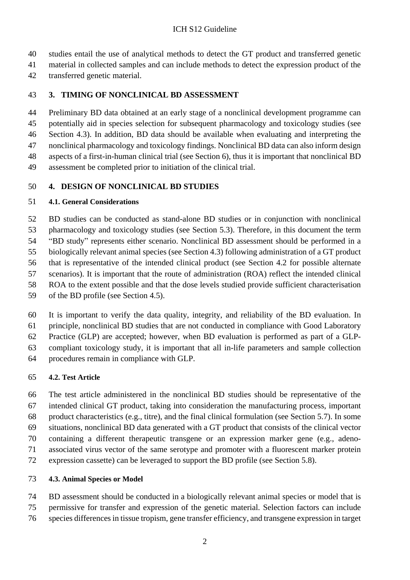studies entail the use of analytical methods to detect the GT product and transferred genetic

material in collected samples and can include methods to detect the expression product of the

transferred genetic material.

### <span id="page-4-0"></span>**3. TIMING OF NONCLINICAL BD ASSESSMENT**

 Preliminary BD data obtained at an early stage of a nonclinical development programme can potentially aid in species selection for subsequent pharmacology and toxicology studies (see Section 4.3). In addition, BD data should be available when evaluating and interpreting the nonclinical pharmacology and toxicology findings. Nonclinical BD data can also inform design aspects of a first-in-human clinical trial (see Section 6), thus it is important that nonclinical BD

assessment be completed prior to initiation of the clinical trial.

#### <span id="page-4-1"></span>**4. DESIGN OF NONCLINICAL BD STUDIES**

#### <span id="page-4-2"></span>**4.1. General Considerations**

 BD studies can be conducted as stand-alone BD studies or in conjunction with nonclinical pharmacology and toxicology studies (see Section 5.3). Therefore, in this document the term "BD study" represents either scenario. Nonclinical BD assessment should be performed in a biologically relevant animal species (see Section 4.3) following administration of a GT product that is representative of the intended clinical product (see Section 4.2 for possible alternate scenarios). It is important that the route of administration (ROA) reflect the intended clinical ROA to the extent possible and that the dose levels studied provide sufficient characterisation of the BD profile (see Section 4.5).

 It is important to verify the data quality, integrity, and reliability of the BD evaluation. In principle, nonclinical BD studies that are not conducted in compliance with Good Laboratory Practice (GLP) are accepted; however, when BD evaluation is performed as part of a GLP-

compliant toxicology study, it is important that all in-life parameters and sample collection

procedures remain in compliance with GLP.

### <span id="page-4-3"></span>**4.2. Test Article**

 The test article administered in the nonclinical BD studies should be representative of the intended clinical GT product, taking into consideration the manufacturing process, important product characteristics (e.g., titre), and the final clinical formulation (see Section 5.7). In some situations, nonclinical BD data generated with a GT product that consists of the clinical vector containing a different therapeutic transgene or an expression marker gene (e.g., adeno- associated virus vector of the same serotype and promoter with a fluorescent marker protein expression cassette) can be leveraged to support the BD profile (see Section 5.8).

### <span id="page-4-4"></span>**4.3. Animal Species or Model**

 BD assessment should be conducted in a biologically relevant animal species or model that is permissive for transfer and expression of the genetic material. Selection factors can include

species differencesin tissue tropism, gene transfer efficiency, and transgene expression in target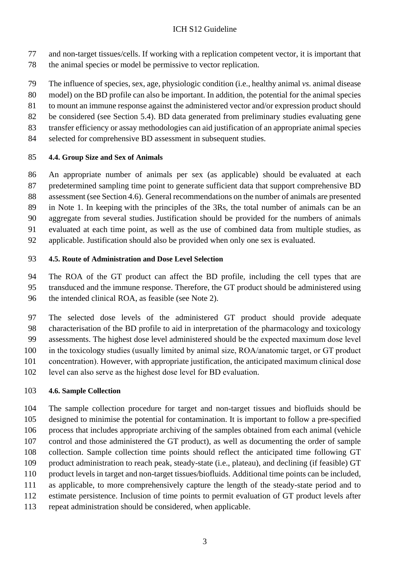- and non-target tissues/cells. If working with a replication competent vector, it is important that
- the animal species or model be permissive to vector replication.
- The influence of species, sex, age, physiologic condition (i.e., healthy animal *vs.* animal disease
- model) on the BD profile can also be important. In addition, the potential for the animal species
- to mount an immune response against the administered vector and/or expression product should
- be considered (see Section 5.4). BD data generated from preliminary studies evaluating gene
- transfer efficiency or assay methodologies can aid justification of an appropriate animal species
- selected for comprehensive BD assessment in subsequent studies.

### <span id="page-5-0"></span>**4.4. Group Size and Sex of Animals**

- An appropriate number of animals per sex (as applicable) should be evaluated at each predetermined sampling time point to generate sufficient data that support comprehensive BD assessment (see Section 4.6). General recommendations on the number of animals are presented in Note 1. In keeping with the principles of the 3Rs, the total number of animals can be an aggregate from several studies. Justification should be provided for the numbers of animals
- evaluated at each time point, as well as the use of combined data from multiple studies, as
- applicable. Justification should also be provided when only one sex is evaluated.

# <span id="page-5-1"></span>**4.5. Route of Administration and Dose Level Selection**

The ROA of the GT product can affect the BD profile, including the cell types that are

- transduced and the immune response. Therefore, the GT product should be administered using the intended clinical ROA, as feasible (see Note 2).
- The selected dose levels of the administered GT product should provide adequate characterisation of the BD profile to aid in interpretation of the pharmacology and toxicology assessments. The highest dose level administered should be the expected maximum dose level in the toxicology studies (usually limited by animal size, ROA/anatomic target, or GT product concentration). However, with appropriate justification, the anticipated maximum clinical dose level can also serve as the highest dose level for BD evaluation.

### <span id="page-5-2"></span>**4.6. Sample Collection**

 The sample collection procedure for target and non-target tissues and biofluids should be designed to minimise the potential for contamination. It is important to follow a pre-specified process that includes appropriate archiving of the samples obtained from each animal (vehicle control and those administered the GT product), as well as documenting the order of sample collection. Sample collection time points should reflect the anticipated time following GT product administration to reach peak, steady-state (i.e., plateau), and declining (if feasible) GT product levels in target and non-target tissues/biofluids. Additional time points can be included, as applicable, to more comprehensively capture the length of the steady-state period and to estimate persistence. Inclusion of time points to permit evaluation of GT product levels after repeat administration should be considered, when applicable.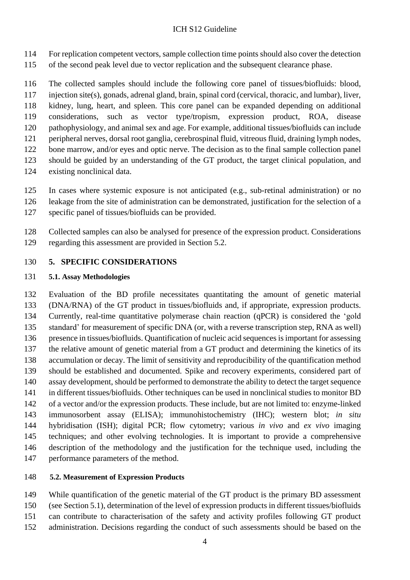- For replication competent vectors, sample collection time points should also cover the detection
- of the second peak level due to vector replication and the subsequent clearance phase.

 The collected samples should include the following core panel of tissues/biofluids: blood, injection site(s), gonads, adrenal gland, brain, spinal cord (cervical, thoracic, and lumbar), liver, kidney, lung, heart, and spleen. This core panel can be expanded depending on additional considerations, such as vector type/tropism, expression product, ROA, disease pathophysiology, and animal sex and age. For example, additional tissues/biofluids can include peripheral nerves, dorsal root ganglia, cerebrospinal fluid, vitreous fluid, draining lymph nodes, 122 bone marrow, and/or eyes and optic nerve. The decision as to the final sample collection panel should be guided by an understanding of the GT product, the target clinical population, and existing nonclinical data.

- In cases where systemic exposure is not anticipated (e.g., sub-retinal administration) or no
- leakage from the site of administration can be demonstrated, justification for the selection of a
- specific panel of tissues/biofluids can be provided.

 Collected samples can also be analysed for presence of the expression product. Considerations regarding this assessment are provided in Section 5.2.

#### <span id="page-6-0"></span>**5. SPECIFIC CONSIDERATIONS**

#### <span id="page-6-1"></span>**5.1. Assay Methodologies**

 Evaluation of the BD profile necessitates quantitating the amount of genetic material (DNA/RNA) of the GT product in tissues/biofluids and, if appropriate, expression products. Currently, real-time quantitative polymerase chain reaction (qPCR) is considered the 'gold standard' for measurement of specific DNA (or, with a reverse transcription step, RNA as well) presence in tissues/biofluids. Quantification of nucleic acid sequencesisimportant for assessing the relative amount of genetic material from a GT product and determining the kinetics of its accumulation or decay. The limit of sensitivity and reproducibility of the quantification method should be established and documented. Spike and recovery experiments, considered part of assay development, should be performed to demonstrate the ability to detect the target sequence in different tissues/biofluids. Other techniques can be used in nonclinical studies to monitor BD of a vector and/or the expression products. These include, but are not limited to: enzyme-linked immunosorbent assay (ELISA); immunohistochemistry (IHC); western blot; *in situ* hybridisation (ISH); digital PCR; flow cytometry; various *in vivo* and *ex vivo* imaging techniques; and other evolving technologies. It is important to provide a comprehensive description of the methodology and the justification for the technique used, including the performance parameters of the method.

#### <span id="page-6-2"></span>**5.2. Measurement of Expression Products**

While quantification of the genetic material of the GT product is the primary BD assessment

- (see Section 5.1), determination of the level of expression products in different tissues/biofluids
- can contribute to characterisation of the safety and activity profiles following GT product
- administration. Decisions regarding the conduct of such assessments should be based on the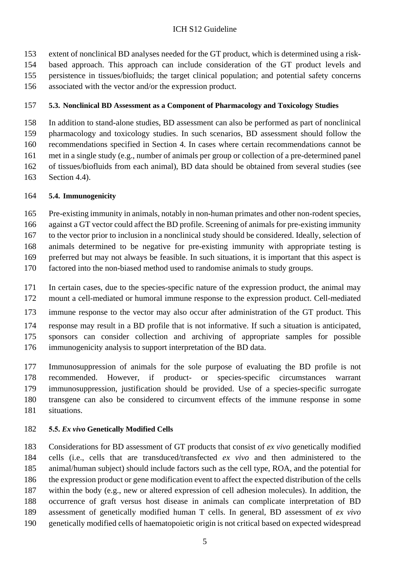extent of nonclinical BD analyses needed for the GT product, which is determined using a risk- based approach. This approach can include consideration of the GT product levels and persistence in tissues/biofluids; the target clinical population; and potential safety concerns associated with the vector and/or the expression product.

#### <span id="page-7-0"></span>**5.3. Nonclinical BD Assessment as a Component of Pharmacology and Toxicology Studies**

 In addition to stand-alone studies, BD assessment can also be performed as part of nonclinical pharmacology and toxicology studies. In such scenarios, BD assessment should follow the recommendations specified in Section 4. In cases where certain recommendations cannot be met in a single study (e.g., number of animals per group or collection of a pre-determined panel of tissues/biofluids from each animal), BD data should be obtained from several studies (see

Section 4.4).

#### <span id="page-7-1"></span>**5.4. Immunogenicity**

165 Pre-existing immunity in animals, notably in non-human primates and other non-rodent species,

against a GT vector could affect the BD profile. Screening of animals for pre-existing immunity

to the vector prior to inclusion in a nonclinical study should be considered. Ideally, selection of

animals determined to be negative for pre-existing immunity with appropriate testing is

preferred but may not always be feasible. In such situations, it is important that this aspect is

- factored into the non-biased method used to randomise animals to study groups.
- In certain cases, due to the species-specific nature of the expression product, the animal may
- mount a cell-mediated or humoral immune response to the expression product. Cell-mediated
- immune response to the vector may also occur after administration of the GT product. This
- response may result in a BD profile that is not informative. If such a situation is anticipated, sponsors can consider collection and archiving of appropriate samples for possible
- immunogenicity analysis to support interpretation of the BD data.

 Immunosuppression of animals for the sole purpose of evaluating the BD profile is not recommended. However, if product- or species-specific circumstances warrant immunosuppression, justification should be provided. Use of a species-specific surrogate transgene can also be considered to circumvent effects of the immune response in some situations.

#### <span id="page-7-2"></span>**5.5.** *Ex vivo* **Genetically Modified Cells**

 Considerations for BD assessment of GT products that consist of *ex vivo* genetically modified cells (i.e., cells that are transduced/transfected *ex vivo* and then administered to the animal/human subject) should include factors such as the cell type, ROA, and the potential for the expression product or gene modification event to affect the expected distribution of the cells within the body (e.g., new or altered expression of cell adhesion molecules). In addition, the occurrence of graft versus host disease in animals can complicate interpretation of BD assessment of genetically modified human T cells. In general, BD assessment of *ex vivo* genetically modified cells of haematopoietic origin is not critical based on expected widespread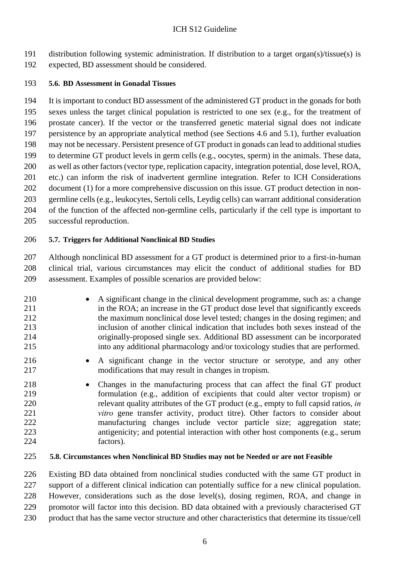distribution following systemic administration. If distribution to a target organ(s)/tissue(s) is

expected, BD assessment should be considered.

## <span id="page-8-0"></span>**5.6. BD Assessment in Gonadal Tissues**

 It is important to conduct BD assessment of the administered GT product in the gonads for both sexes unless the target clinical population is restricted to one sex (e.g., for the treatment of prostate cancer). If the vector or the transferred genetic material signal does not indicate persistence by an appropriate analytical method (see Sections 4.6 and 5.1), further evaluation may not be necessary. Persistent presence of GT product in gonads can lead to additional studies to determine GT product levels in germ cells (e.g., oocytes, sperm) in the animals. These data, as well as other factors(vector type, replication capacity, integration potential, dose level, ROA, etc.) can inform the risk of inadvertent germline integration. Refer to ICH Considerations document (1) for a more comprehensive discussion on this issue. GT product detection in non- germline cells (e.g., leukocytes, Sertoli cells, Leydig cells) can warrant additional consideration of the function of the affected non-germline cells, particularly if the cell type is important to successful reproduction.

# <span id="page-8-1"></span>**5.7. Triggers for Additional Nonclinical BD Studies**

 Although nonclinical BD assessment for a GT product is determined prior to a first-in-human clinical trial, various circumstances may elicit the conduct of additional studies for BD assessment. Examples of possible scenarios are provided below:

- 210 A significant change in the clinical development programme, such as: a change in the ROA; an increase in the GT product dose level that significantly exceeds the maximum nonclinical dose level tested; changes in the dosing regimen; and inclusion of another clinical indication that includes both sexes instead of the originally-proposed single sex. Additional BD assessment can be incorporated into any additional pharmacology and/or toxicology studies that are performed.
- 216 A significant change in the vector structure or serotype, and any other modifications that may result in changes in tropism.
- Changes in the manufacturing process that can affect the final GT product formulation (e.g., addition of excipients that could alter vector tropism) or relevant quality attributes of the GT product (e.g., empty to full capsid ratios, *in vitro* gene transfer activity, product titre). Other factors to consider about manufacturing changes include vector particle size; aggregation state; antigenicity; and potential interaction with other host components (e.g., serum factors).

# <span id="page-8-2"></span>**5.8. Circumstances when Nonclinical BD Studies may not be Needed or are not Feasible**

 Existing BD data obtained from nonclinical studies conducted with the same GT product in support of a different clinical indication can potentially suffice for a new clinical population. However, considerations such as the dose level(s), dosing regimen, ROA, and change in promotor will factor into this decision. BD data obtained with a previously characterised GT

product that has the same vector structure and other characteristics that determine its tissue/cell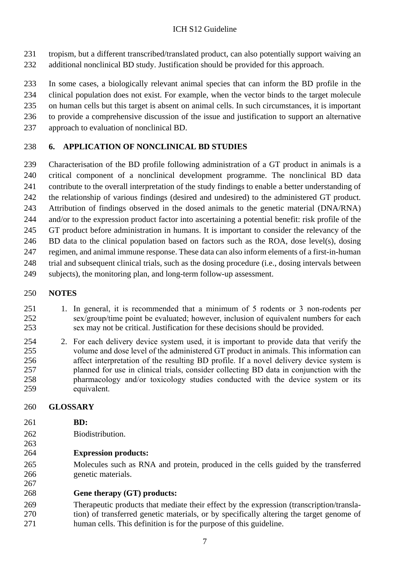tropism, but a different transcribed/translated product, can also potentially support waiving an additional nonclinical BD study. Justification should be provided for this approach.

 In some cases, a biologically relevant animal species that can inform the BD profile in the clinical population does not exist. For example, when the vector binds to the target molecule on human cells but this target is absent on animal cells. In such circumstances, it is important to provide a comprehensive discussion of the issue and justification to support an alternative approach to evaluation of nonclinical BD.

# <span id="page-9-0"></span>**6. APPLICATION OF NONCLINICAL BD STUDIES**

 Characterisation of the BD profile following administration of a GT product in animals is a critical component of a nonclinical development programme. The nonclinical BD data contribute to the overall interpretation of the study findings to enable a better understanding of the relationship of various findings (desired and undesired) to the administered GT product. Attribution of findings observed in the dosed animals to the genetic material (DNA/RNA) and/or to the expression product factor into ascertaining a potential benefit: risk profile of the GT product before administration in humans. It is important to consider the relevancy of the BD data to the clinical population based on factors such as the ROA, dose level(s), dosing regimen, and animal immune response. These data can also inform elements of a first-in-human trial and subsequent clinical trials, such as the dosing procedure (i.e., dosing intervals between subjects), the monitoring plan, and long-term follow-up assessment.

# <span id="page-9-1"></span>**NOTES**

- 1. In general, it is recommended that a minimum of 5 rodents or 3 non-rodents per sex/group/time point be evaluated; however, inclusion of equivalent numbers for each sex may not be critical. Justification for these decisions should be provided.
- 2. For each delivery device system used, it is important to provide data that verify the volume and dose level of the administered GT product in animals. This information can affect interpretation of the resulting BD profile. If a novel delivery device system is planned for use in clinical trials, consider collecting BD data in conjunction with the pharmacology and/or toxicology studies conducted with the device system or its equivalent.

### <span id="page-9-2"></span>**GLOSSARY**

**BD:**

- Biodistribution.
- **Expression products:**
- Molecules such as RNA and protein, produced in the cells guided by the transferred genetic materials.
- **Gene therapy (GT) products:**
- Therapeutic products that mediate their effect by the expression (transcription/transla- tion) of transferred genetic materials, or by specifically altering the target genome of human cells. This definition is for the purpose of this guideline.